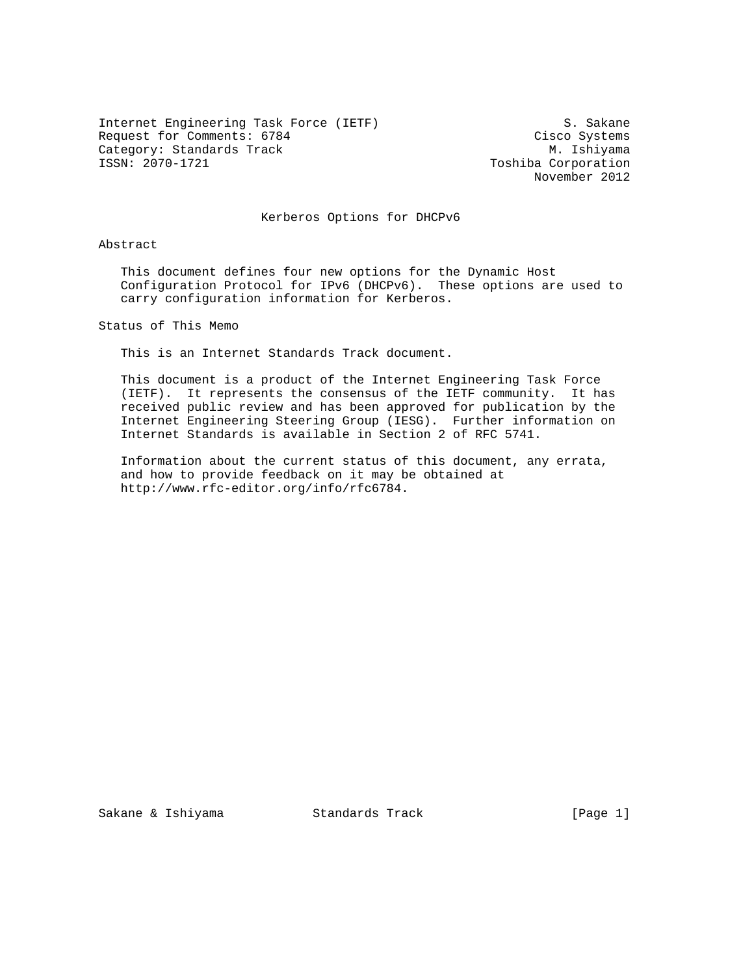Internet Engineering Task Force (IETF) S. Sakane Request for Comments: 6784 Cisco Systems Category: Standards Track M. Ishiyama<br>ISSN: 2070-1721 TOShiba Corporation

Toshiba Corporation November 2012

## Kerberos Options for DHCPv6

## Abstract

 This document defines four new options for the Dynamic Host Configuration Protocol for IPv6 (DHCPv6). These options are used to carry configuration information for Kerberos.

Status of This Memo

This is an Internet Standards Track document.

 This document is a product of the Internet Engineering Task Force (IETF). It represents the consensus of the IETF community. It has received public review and has been approved for publication by the Internet Engineering Steering Group (IESG). Further information on Internet Standards is available in Section 2 of RFC 5741.

 Information about the current status of this document, any errata, and how to provide feedback on it may be obtained at http://www.rfc-editor.org/info/rfc6784.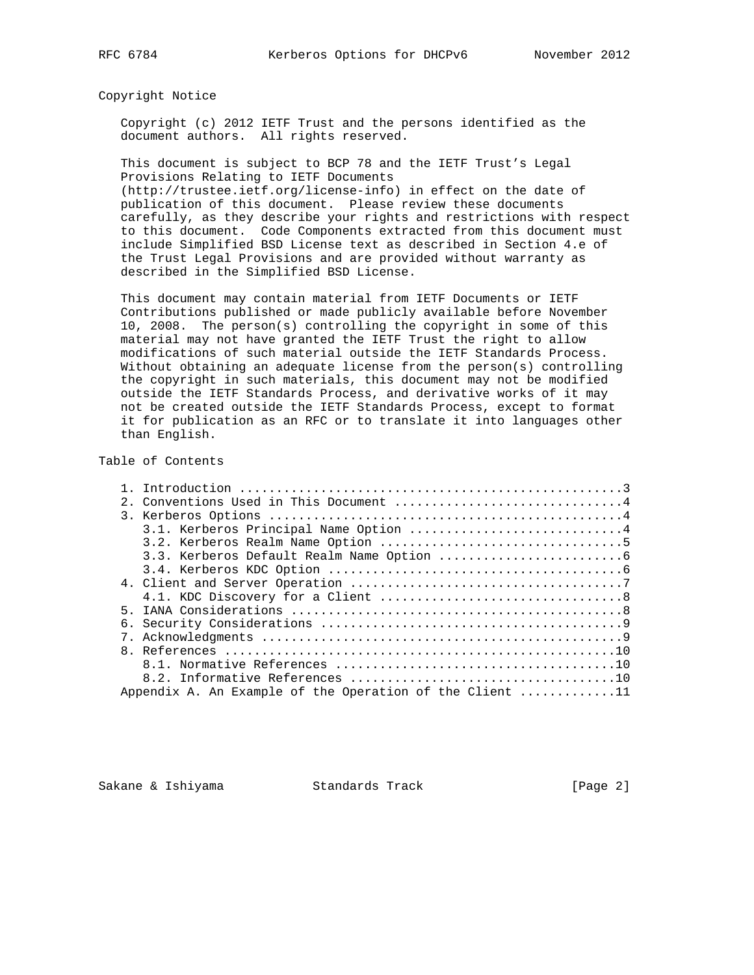Copyright Notice

 Copyright (c) 2012 IETF Trust and the persons identified as the document authors. All rights reserved.

 This document is subject to BCP 78 and the IETF Trust's Legal Provisions Relating to IETF Documents

 (http://trustee.ietf.org/license-info) in effect on the date of publication of this document. Please review these documents carefully, as they describe your rights and restrictions with respect to this document. Code Components extracted from this document must include Simplified BSD License text as described in Section 4.e of the Trust Legal Provisions and are provided without warranty as described in the Simplified BSD License.

 This document may contain material from IETF Documents or IETF Contributions published or made publicly available before November 10, 2008. The person(s) controlling the copyright in some of this material may not have granted the IETF Trust the right to allow modifications of such material outside the IETF Standards Process. Without obtaining an adequate license from the person(s) controlling the copyright in such materials, this document may not be modified outside the IETF Standards Process, and derivative works of it may not be created outside the IETF Standards Process, except to format it for publication as an RFC or to translate it into languages other than English.

## Table of Contents

|  | 3.1. Kerberos Principal Name Option 4                    |  |
|--|----------------------------------------------------------|--|
|  |                                                          |  |
|  |                                                          |  |
|  |                                                          |  |
|  |                                                          |  |
|  |                                                          |  |
|  |                                                          |  |
|  |                                                          |  |
|  |                                                          |  |
|  |                                                          |  |
|  |                                                          |  |
|  |                                                          |  |
|  | Appendix A. An Example of the Operation of the Client 11 |  |

Sakane & Ishiyama Standards Track [Page 2]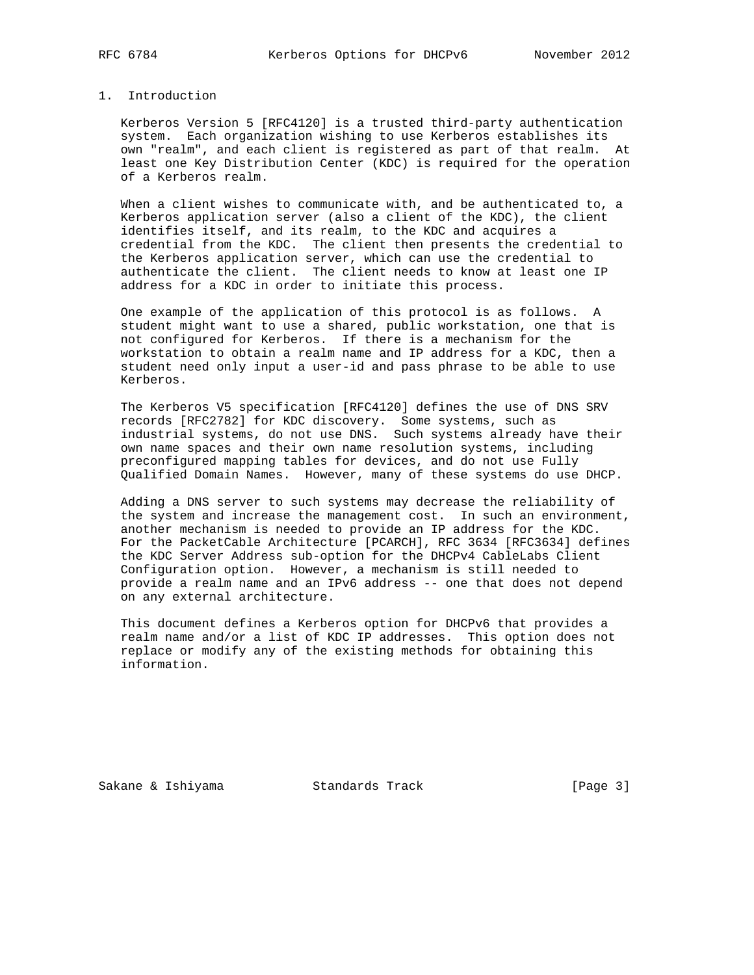## 1. Introduction

 Kerberos Version 5 [RFC4120] is a trusted third-party authentication system. Each organization wishing to use Kerberos establishes its own "realm", and each client is registered as part of that realm. At least one Key Distribution Center (KDC) is required for the operation of a Kerberos realm.

 When a client wishes to communicate with, and be authenticated to, a Kerberos application server (also a client of the KDC), the client identifies itself, and its realm, to the KDC and acquires a credential from the KDC. The client then presents the credential to the Kerberos application server, which can use the credential to authenticate the client. The client needs to know at least one IP address for a KDC in order to initiate this process.

 One example of the application of this protocol is as follows. A student might want to use a shared, public workstation, one that is not configured for Kerberos. If there is a mechanism for the workstation to obtain a realm name and IP address for a KDC, then a student need only input a user-id and pass phrase to be able to use Kerberos.

 The Kerberos V5 specification [RFC4120] defines the use of DNS SRV records [RFC2782] for KDC discovery. Some systems, such as industrial systems, do not use DNS. Such systems already have their own name spaces and their own name resolution systems, including preconfigured mapping tables for devices, and do not use Fully Qualified Domain Names. However, many of these systems do use DHCP.

 Adding a DNS server to such systems may decrease the reliability of the system and increase the management cost. In such an environment, another mechanism is needed to provide an IP address for the KDC. For the PacketCable Architecture [PCARCH], RFC 3634 [RFC3634] defines the KDC Server Address sub-option for the DHCPv4 CableLabs Client Configuration option. However, a mechanism is still needed to provide a realm name and an IPv6 address -- one that does not depend on any external architecture.

 This document defines a Kerberos option for DHCPv6 that provides a realm name and/or a list of KDC IP addresses. This option does not replace or modify any of the existing methods for obtaining this information.

Sakane & Ishiyama Standards Track [Page 3]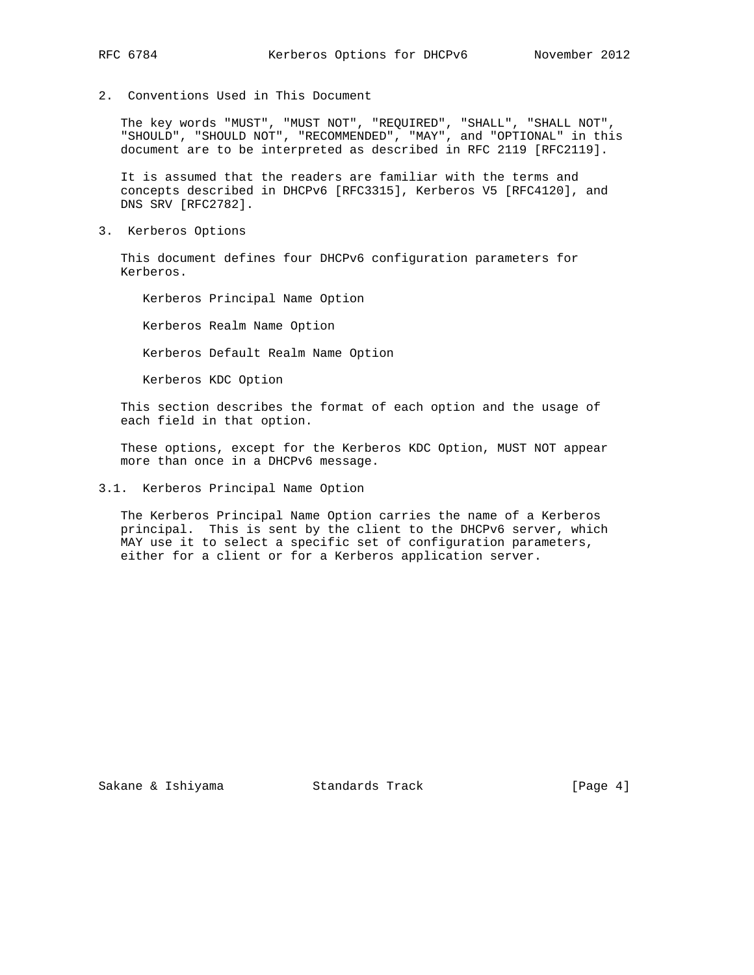2. Conventions Used in This Document

 The key words "MUST", "MUST NOT", "REQUIRED", "SHALL", "SHALL NOT", "SHOULD", "SHOULD NOT", "RECOMMENDED", "MAY", and "OPTIONAL" in this document are to be interpreted as described in RFC 2119 [RFC2119].

 It is assumed that the readers are familiar with the terms and concepts described in DHCPv6 [RFC3315], Kerberos V5 [RFC4120], and DNS SRV [RFC2782].

3. Kerberos Options

 This document defines four DHCPv6 configuration parameters for Kerberos.

 Kerberos Principal Name Option Kerberos Realm Name Option Kerberos Default Realm Name Option Kerberos KDC Option

 This section describes the format of each option and the usage of each field in that option.

 These options, except for the Kerberos KDC Option, MUST NOT appear more than once in a DHCPv6 message.

3.1. Kerberos Principal Name Option

 The Kerberos Principal Name Option carries the name of a Kerberos principal. This is sent by the client to the DHCPv6 server, which MAY use it to select a specific set of configuration parameters, either for a client or for a Kerberos application server.

Sakane & Ishiyama Standards Track [Page 4]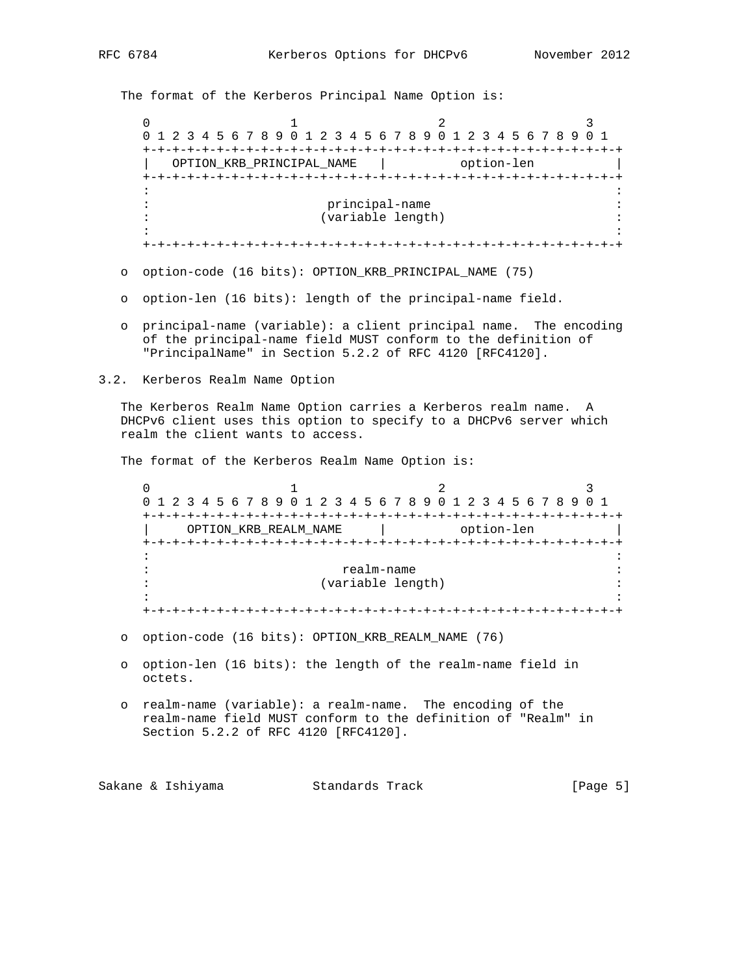The format of the Kerberos Principal Name Option is:

 $0$  and  $1$  and  $2$  3 0 1 2 3 4 5 6 7 8 9 0 1 2 3 4 5 6 7 8 9 0 1 2 3 4 5 6 7 8 9 0 1 +-+-+-+-+-+-+-+-+-+-+-+-+-+-+-+-+-+-+-+-+-+-+-+-+-+-+-+-+-+-+-+-+ | OPTION\_KRB\_PRINCIPAL\_NAME | option-len +-+-+-+-+-+-+-+-+-+-+-+-+-+-+-+-+-+-+-+-+-+-+-+-+-+-+-+-+-+-+-+-+ : : : principal-name : : (variable length) : : : +-+-+-+-+-+-+-+-+-+-+-+-+-+-+-+-+-+-+-+-+-+-+-+-+-+-+-+-+-+-+-+-+

- o option-code (16 bits): OPTION\_KRB\_PRINCIPAL\_NAME (75)
- o option-len (16 bits): length of the principal-name field.
- o principal-name (variable): a client principal name. The encoding of the principal-name field MUST conform to the definition of "PrincipalName" in Section 5.2.2 of RFC 4120 [RFC4120].

3.2. Kerberos Realm Name Option

 The Kerberos Realm Name Option carries a Kerberos realm name. A DHCPv6 client uses this option to specify to a DHCPv6 server which realm the client wants to access.

The format of the Kerberos Realm Name Option is:

 $0$  and  $1$  and  $2$  3 0 1 2 3 4 5 6 7 8 9 0 1 2 3 4 5 6 7 8 9 0 1 2 3 4 5 6 7 8 9 0 1 +-+-+-+-+-+-+-+-+-+-+-+-+-+-+-+-+-+-+-+-+-+-+-+-+-+-+-+-+-+-+-+-+ OPTION\_KRB\_REALM\_NAME | option-len +-+-+-+-+-+-+-+-+-+-+-+-+-+-+-+-+-+-+-+-+-+-+-+-+-+-+-+-+-+-+-+-+ : : : realm-name : : (variable length) : : : +-+-+-+-+-+-+-+-+-+-+-+-+-+-+-+-+-+-+-+-+-+-+-+-+-+-+-+-+-+-+-+-+

- o option-code (16 bits): OPTION\_KRB\_REALM\_NAME (76)
- o option-len (16 bits): the length of the realm-name field in octets.
- o realm-name (variable): a realm-name. The encoding of the realm-name field MUST conform to the definition of "Realm" in Section 5.2.2 of RFC 4120 [RFC4120].

Sakane & Ishiyama Standards Track [Page 5]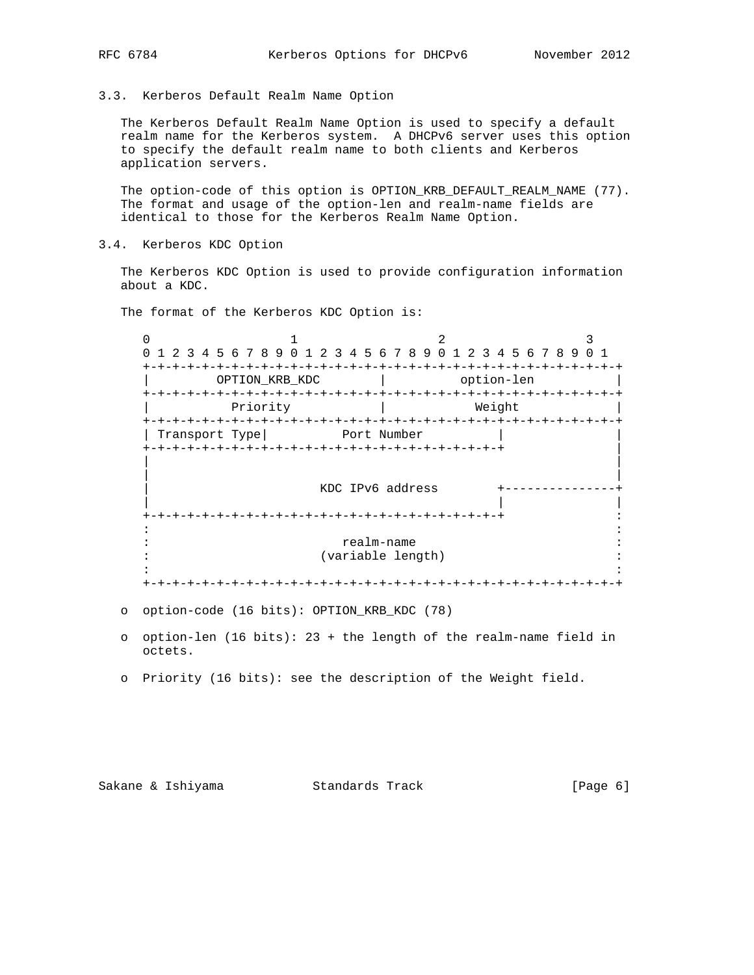3.3. Kerberos Default Realm Name Option

 The Kerberos Default Realm Name Option is used to specify a default realm name for the Kerberos system. A DHCPv6 server uses this option to specify the default realm name to both clients and Kerberos application servers.

 The option-code of this option is OPTION\_KRB\_DEFAULT\_REALM\_NAME (77). The format and usage of the option-len and realm-name fields are identical to those for the Kerberos Realm Name Option.

3.4. Kerberos KDC Option

 The Kerberos KDC Option is used to provide configuration information about a KDC.

 The format of the Kerberos KDC Option is: 0  $1$   $2$   $3$ 

 0 1 2 3 4 5 6 7 8 9 0 1 2 3 4 5 6 7 8 9 0 1 2 3 4 5 6 7 8 9 0 1 +-+-+-+-+-+-+-+-+-+-+-+-+-+-+-+-+-+-+-+-+-+-+-+-+-+-+-+-+-+-+-+-+ OPTION\_KRB\_KDC | option-len +-+-+-+-+-+-+-+-+-+-+-+-+-+-+-+-+-+-+-+-+-+-+-+-+-+-+-+-+-+-+-+-+ Priority | Weight +-+-+-+-+-+-+-+-+-+-+-+-+-+-+-+-+-+-+-+-+-+-+-+-+-+-+-+-+-+-+-+-+ | Transport Type| Port Number | | +-+-+-+-+-+-+-+-+-+-+-+-+-+-+-+-+-+-+-+-+-+-+-+-+ | | | | | | KDC IPv6 address +---------------+ | | | +-+-+-+-+-+-+-+-+-+-+-+-+-+-+-+-+-+-+-+-+-+-+-+-+ : : : : realm-name : : (variable length) : : : +-+-+-+-+-+-+-+-+-+-+-+-+-+-+-+-+-+-+-+-+-+-+-+-+-+-+-+-+-+-+-+-+

- o option-code (16 bits): OPTION\_KRB\_KDC (78)
- o option-len (16 bits): 23 + the length of the realm-name field in octets.
- o Priority (16 bits): see the description of the Weight field.

Sakane & Ishiyama Standards Track [Page 6]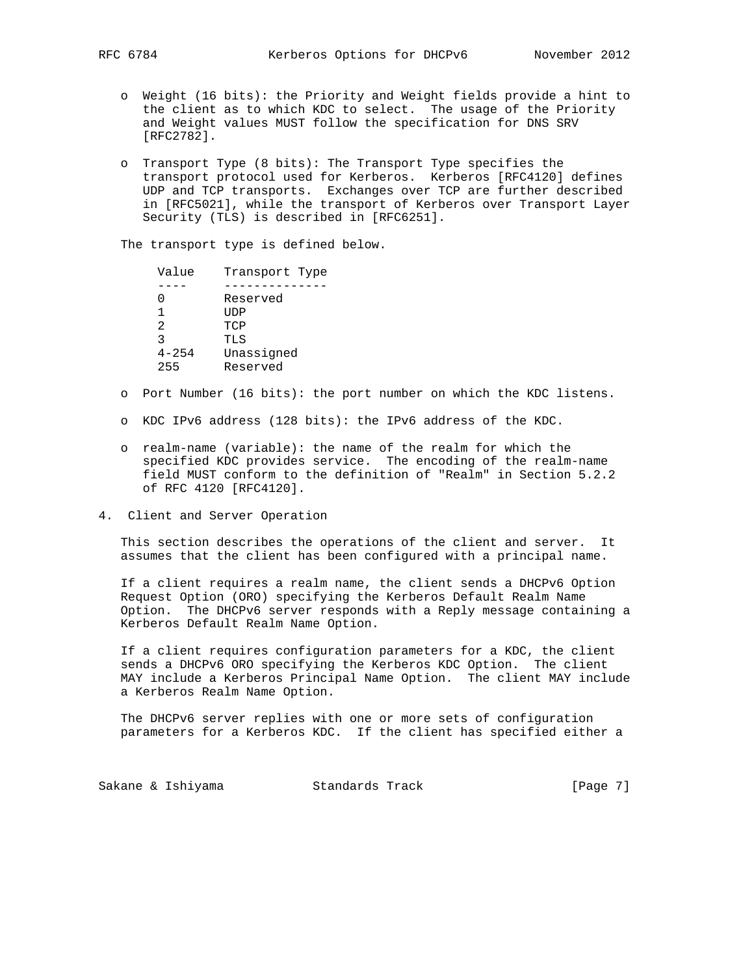- o Weight (16 bits): the Priority and Weight fields provide a hint to the client as to which KDC to select. The usage of the Priority and Weight values MUST follow the specification for DNS SRV [RFC2782].
- o Transport Type (8 bits): The Transport Type specifies the transport protocol used for Kerberos. Kerberos [RFC4120] defines UDP and TCP transports. Exchanges over TCP are further described in [RFC5021], while the transport of Kerberos over Transport Layer Security (TLS) is described in [RFC6251].

The transport type is defined below.

| Value          | Transport Type |
|----------------|----------------|
|                |                |
| 0              | Reserved       |
|                | UDP            |
| $\mathfrak{D}$ | TCP            |
| ર              | TLS            |
| $4 - 254$      | Unassigned     |
| 255            | Reserved       |
|                |                |

- o Port Number (16 bits): the port number on which the KDC listens.
- o KDC IPv6 address (128 bits): the IPv6 address of the KDC.
- o realm-name (variable): the name of the realm for which the specified KDC provides service. The encoding of the realm-name field MUST conform to the definition of "Realm" in Section 5.2.2 of RFC 4120 [RFC4120].
- 4. Client and Server Operation

 This section describes the operations of the client and server. It assumes that the client has been configured with a principal name.

 If a client requires a realm name, the client sends a DHCPv6 Option Request Option (ORO) specifying the Kerberos Default Realm Name Option. The DHCPv6 server responds with a Reply message containing a Kerberos Default Realm Name Option.

 If a client requires configuration parameters for a KDC, the client sends a DHCPv6 ORO specifying the Kerberos KDC Option. The client MAY include a Kerberos Principal Name Option. The client MAY include a Kerberos Realm Name Option.

 The DHCPv6 server replies with one or more sets of configuration parameters for a Kerberos KDC. If the client has specified either a

Sakane & Ishiyama Standards Track [Page 7]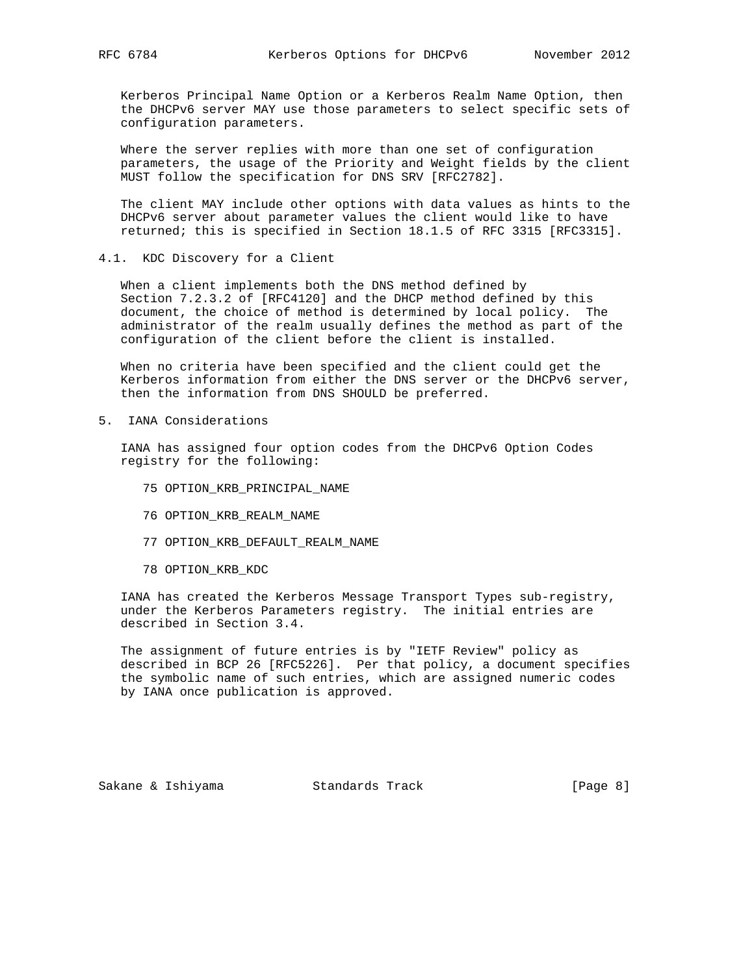Kerberos Principal Name Option or a Kerberos Realm Name Option, then the DHCPv6 server MAY use those parameters to select specific sets of configuration parameters.

 Where the server replies with more than one set of configuration parameters, the usage of the Priority and Weight fields by the client MUST follow the specification for DNS SRV [RFC2782].

 The client MAY include other options with data values as hints to the DHCPv6 server about parameter values the client would like to have returned; this is specified in Section 18.1.5 of RFC 3315 [RFC3315].

4.1. KDC Discovery for a Client

 When a client implements both the DNS method defined by Section 7.2.3.2 of [RFC4120] and the DHCP method defined by this document, the choice of method is determined by local policy. The administrator of the realm usually defines the method as part of the configuration of the client before the client is installed.

 When no criteria have been specified and the client could get the Kerberos information from either the DNS server or the DHCPv6 server, then the information from DNS SHOULD be preferred.

5. IANA Considerations

 IANA has assigned four option codes from the DHCPv6 Option Codes registry for the following:

- 75 OPTION\_KRB\_PRINCIPAL\_NAME
- 76 OPTION\_KRB\_REALM\_NAME
- 77 OPTION\_KRB\_DEFAULT\_REALM\_NAME
- 78 OPTION\_KRB\_KDC

 IANA has created the Kerberos Message Transport Types sub-registry, under the Kerberos Parameters registry. The initial entries are described in Section 3.4.

 The assignment of future entries is by "IETF Review" policy as described in BCP 26 [RFC5226]. Per that policy, a document specifies the symbolic name of such entries, which are assigned numeric codes by IANA once publication is approved.

Sakane & Ishiyama Standards Track [Page 8]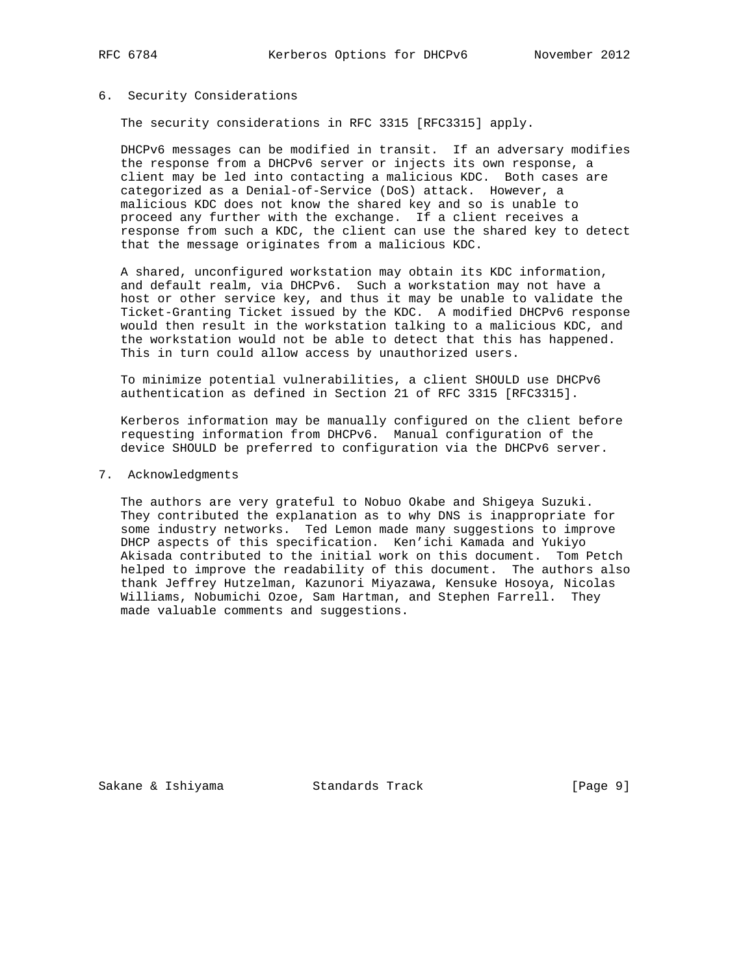### 6. Security Considerations

The security considerations in RFC 3315 [RFC3315] apply.

 DHCPv6 messages can be modified in transit. If an adversary modifies the response from a DHCPv6 server or injects its own response, a client may be led into contacting a malicious KDC. Both cases are categorized as a Denial-of-Service (DoS) attack. However, a malicious KDC does not know the shared key and so is unable to proceed any further with the exchange. If a client receives a response from such a KDC, the client can use the shared key to detect that the message originates from a malicious KDC.

 A shared, unconfigured workstation may obtain its KDC information, and default realm, via DHCPv6. Such a workstation may not have a host or other service key, and thus it may be unable to validate the Ticket-Granting Ticket issued by the KDC. A modified DHCPv6 response would then result in the workstation talking to a malicious KDC, and the workstation would not be able to detect that this has happened. This in turn could allow access by unauthorized users.

 To minimize potential vulnerabilities, a client SHOULD use DHCPv6 authentication as defined in Section 21 of RFC 3315 [RFC3315].

 Kerberos information may be manually configured on the client before requesting information from DHCPv6. Manual configuration of the device SHOULD be preferred to configuration via the DHCPv6 server.

7. Acknowledgments

 The authors are very grateful to Nobuo Okabe and Shigeya Suzuki. They contributed the explanation as to why DNS is inappropriate for some industry networks. Ted Lemon made many suggestions to improve DHCP aspects of this specification. Ken'ichi Kamada and Yukiyo Akisada contributed to the initial work on this document. Tom Petch helped to improve the readability of this document. The authors also thank Jeffrey Hutzelman, Kazunori Miyazawa, Kensuke Hosoya, Nicolas Williams, Nobumichi Ozoe, Sam Hartman, and Stephen Farrell. They made valuable comments and suggestions.

Sakane & Ishiyama Standards Track [Page 9]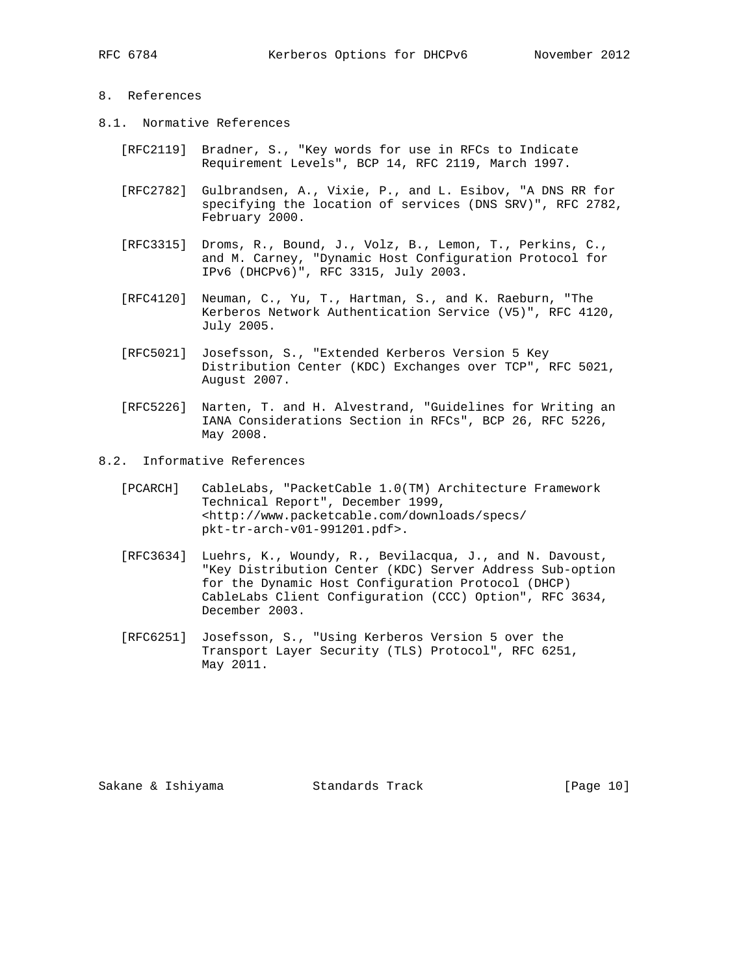# 8. References

- 8.1. Normative References
	- [RFC2119] Bradner, S., "Key words for use in RFCs to Indicate Requirement Levels", BCP 14, RFC 2119, March 1997.
	- [RFC2782] Gulbrandsen, A., Vixie, P., and L. Esibov, "A DNS RR for specifying the location of services (DNS SRV)", RFC 2782, February 2000.
	- [RFC3315] Droms, R., Bound, J., Volz, B., Lemon, T., Perkins, C., and M. Carney, "Dynamic Host Configuration Protocol for IPv6 (DHCPv6)", RFC 3315, July 2003.
	- [RFC4120] Neuman, C., Yu, T., Hartman, S., and K. Raeburn, "The Kerberos Network Authentication Service (V5)", RFC 4120, July 2005.
	- [RFC5021] Josefsson, S., "Extended Kerberos Version 5 Key Distribution Center (KDC) Exchanges over TCP", RFC 5021, August 2007.
	- [RFC5226] Narten, T. and H. Alvestrand, "Guidelines for Writing an IANA Considerations Section in RFCs", BCP 26, RFC 5226, May 2008.
- 8.2. Informative References
	- [PCARCH] CableLabs, "PacketCable 1.0(TM) Architecture Framework Technical Report", December 1999, <http://www.packetcable.com/downloads/specs/ pkt-tr-arch-v01-991201.pdf>.
	- [RFC3634] Luehrs, K., Woundy, R., Bevilacqua, J., and N. Davoust, "Key Distribution Center (KDC) Server Address Sub-option for the Dynamic Host Configuration Protocol (DHCP) CableLabs Client Configuration (CCC) Option", RFC 3634, December 2003.
	- [RFC6251] Josefsson, S., "Using Kerberos Version 5 over the Transport Layer Security (TLS) Protocol", RFC 6251, May 2011.

Sakane & Ishiyama  $\blacksquare$  Standards Track  $\blacksquare$  [Page 10]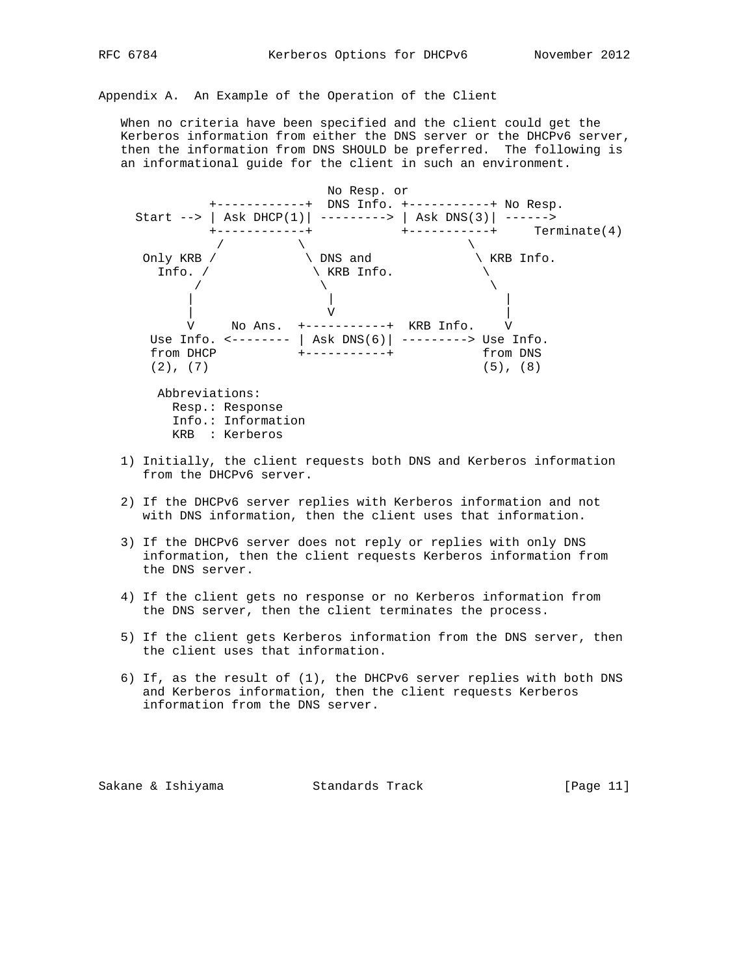Appendix A. An Example of the Operation of the Client

 When no criteria have been specified and the client could get the Kerberos information from either the DNS server or the DHCPv6 server, then the information from DNS SHOULD be preferred. The following is an informational guide for the client in such an environment.



- 1) Initially, the client requests both DNS and Kerberos information from the DHCPv6 server.
- 2) If the DHCPv6 server replies with Kerberos information and not with DNS information, then the client uses that information.
- 3) If the DHCPv6 server does not reply or replies with only DNS information, then the client requests Kerberos information from the DNS server.
- 4) If the client gets no response or no Kerberos information from the DNS server, then the client terminates the process.
- 5) If the client gets Kerberos information from the DNS server, then the client uses that information.
- 6) If, as the result of (1), the DHCPv6 server replies with both DNS and Kerberos information, then the client requests Kerberos information from the DNS server.

Sakane & Ishiyama Standards Track [Page 11]